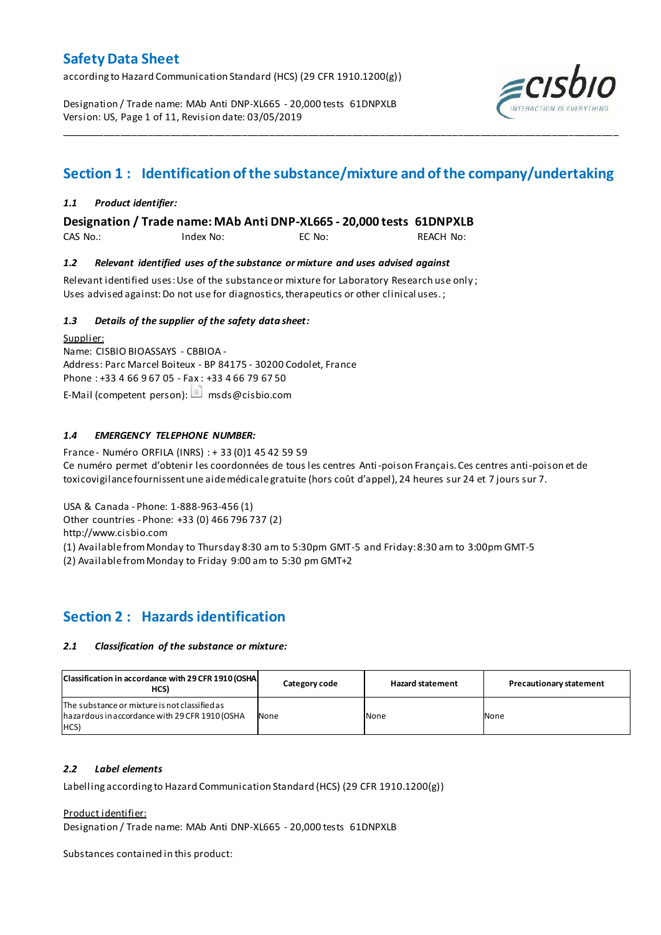according to Hazard Communication Standard (HCS) (29 CFR 1910.1200(g))

Designation / Trade name: MAb Anti DNP-XL665 - 20,000 tests 61DNPXLB Version: US, Page 1 of 11, Revision date: 03/05/2019



# **Section 1 : Identification of the substance/mixture and of the company/undertaking**

\_\_\_\_\_\_\_\_\_\_\_\_\_\_\_\_\_\_\_\_\_\_\_\_\_\_\_\_\_\_\_\_\_\_\_\_\_\_\_\_\_\_\_\_\_\_\_\_\_\_\_\_\_\_\_\_\_\_\_\_\_\_\_\_\_\_\_\_\_\_\_\_\_\_\_\_\_\_\_\_\_\_\_\_\_\_\_\_\_\_\_\_\_\_\_\_\_\_\_\_\_

## *1.1 Product identifier:*

**Designation / Trade name: MAb Anti DNP-XL665 - 20,000 tests 61DNPXLB** 

CAS No.: Index No: EC No: REACH No:

### *1.2 Relevant identified uses of the substance or mixture and uses advised against*

Relevant identified uses:Use of the substance or mixture for Laboratory Research use only ; Uses advised against: Do not use for diagnostics, therapeutics or other clinical uses.;

## *1.3 Details of the supplier of the safety data sheet:*

Supplier: Name: CISBIO BIOASSAYS - CBBIOA - Address: Parc Marcel Boiteux - BP 84175 - 30200 Codolet, France Phone : +33 4 66 9 67 05 - Fax : +33 4 66 79 67 50 E-Mail (competent person):  $\Box$  msds@cisbio.com

## *1.4 EMERGENCY TELEPHONE NUMBER:*

France - Numéro ORFILA (INRS) : + 33 (0)1 45 42 59 59 Ce numéro permet d'obtenir les coordonnées de tous les centres Anti-poison Français. Ces centres anti-poison et de toxicovigilance fournissent une aide médicale gratuite (hors coût d'appel), 24 heures sur 24 et 7 jours sur 7.

USA & Canada - Phone: 1-888-963-456 (1) Other countries - Phone: +33 (0) 466 796 737 (2)

http://www.cisbio.com

(1) Available from Monday to Thursday 8:30 am to 5:30pm GMT-5 and Friday: 8:30 am to 3:00pm GMT-5

(2) Available from Monday to Friday 9:00 am to 5:30 pm GMT+2

## **Section 2 : Hazards identification**

### *2.1 Classification of the substance or mixture:*

| Classification in accordance with 29 CFR 1910 (OSHA<br>HCS)                                             | Category code | <b>Hazard statement</b> | <b>Precautionary statement</b> |
|---------------------------------------------------------------------------------------------------------|---------------|-------------------------|--------------------------------|
| The substance or mixture is not classified as<br>hazardous in accordance with 29 CFR 1910 (OSHA<br>HCS) | None          | None                    | None                           |

### *2.2 Label elements*

Labelling according to Hazard Communication Standard (HCS) (29 CFR 1910.1200(g))

Product identifier:

Designation / Trade name: MAb Anti DNP-XL665 - 20,000 tests 61DNPXLB

Substances contained in this product: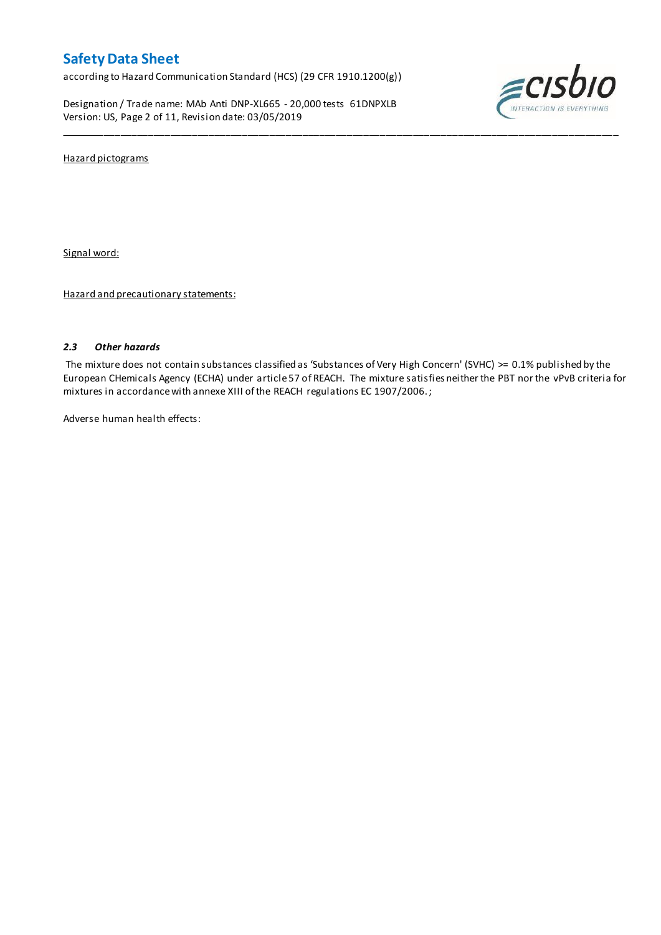according to Hazard Communication Standard (HCS) (29 CFR 1910.1200(g))

Designation / Trade name: MAb Anti DNP-XL665 - 20,000 tests 61DNPXLB Version: US, Page 2 of 11, Revision date: 03/05/2019



Hazard pictograms

Signal word:

Hazard and precautionary statements:

### *2.3 Other hazards*

The mixture does not contain substances classified as 'Substances of Very High Concern' (SVHC) >= 0.1% published by the European CHemicals Agency (ECHA) under article 57 of REACH. The mixture satisfies neither the PBT nor the vPvB criteria for mixtures in accordance with annexe XIII of the REACH regulations EC 1907/2006. ;

\_\_\_\_\_\_\_\_\_\_\_\_\_\_\_\_\_\_\_\_\_\_\_\_\_\_\_\_\_\_\_\_\_\_\_\_\_\_\_\_\_\_\_\_\_\_\_\_\_\_\_\_\_\_\_\_\_\_\_\_\_\_\_\_\_\_\_\_\_\_\_\_\_\_\_\_\_\_\_\_\_\_\_\_\_\_\_\_\_\_\_\_\_\_\_\_\_\_\_\_\_

Adverse human health effects: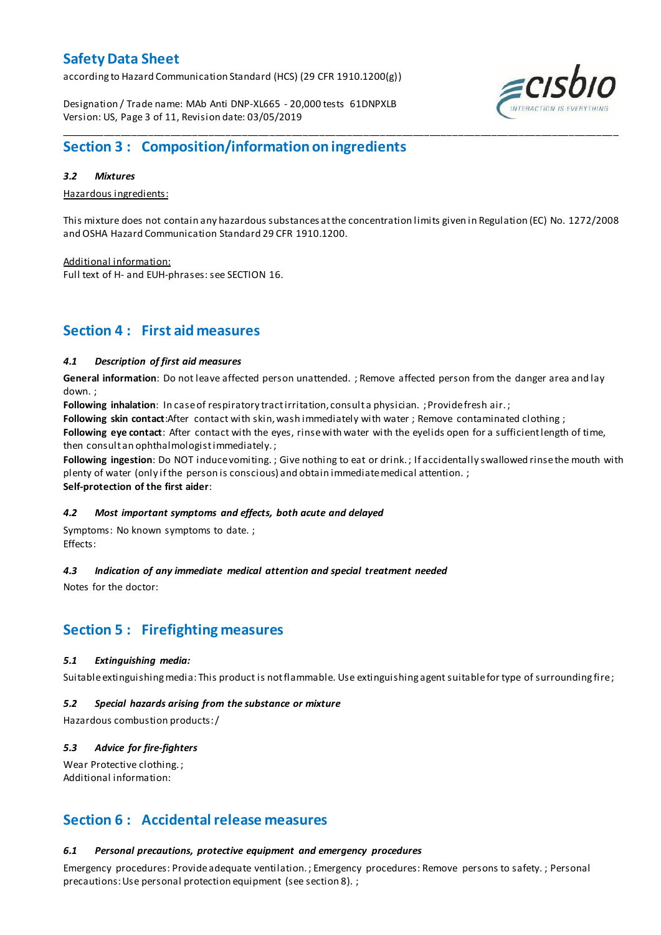according to Hazard Communication Standard (HCS) (29 CFR 1910.1200(g))

Designation / Trade name: MAb Anti DNP-XL665 - 20,000 tests 61DNPXLB Version: US, Page 3 of 11, Revision date: 03/05/2019

## **Section 3 : Composition/information on ingredients**

### *3.2 Mixtures*

Hazardous ingredients:

This mixture does not contain any hazardous substances at the concentration limits given in Regulation (EC) No. 1272/2008 and OSHA Hazard Communication Standard 29 CFR 1910.1200.

\_\_\_\_\_\_\_\_\_\_\_\_\_\_\_\_\_\_\_\_\_\_\_\_\_\_\_\_\_\_\_\_\_\_\_\_\_\_\_\_\_\_\_\_\_\_\_\_\_\_\_\_\_\_\_\_\_\_\_\_\_\_\_\_\_\_\_\_\_\_\_\_\_\_\_\_\_\_\_\_\_\_\_\_\_\_\_\_\_\_\_\_\_\_\_\_\_\_\_\_\_

Additional information: Full text of H- and EUH-phrases: see SECTION 16.

## **Section 4 : First aid measures**

## *4.1 Description of first aid measures*

**General information**: Do not leave affected person unattended. ; Remove affected person from the danger area and lay down. ;

**Following inhalation**: In case of respiratory tract irritation, consult a physician. ; Provide fresh air. ;

**Following skin contact**:After contact with skin, wash immediately with water ; Remove contaminated clothing ;

**Following eye contact**: After contact with the eyes, rinse with water with the eyelids open for a sufficient length of time, then consult an ophthalmologist immediately. ;

**Following ingestion**: Do NOT induce vomiting. ; Give nothing to eat or drink. ; If accidentally swallowed rinse the mouth with plenty of water (only if the person is conscious) and obtain immediate medical attention. ; **Self-protection of the first aider**:

### *4.2 Most important symptoms and effects, both acute and delayed*

Symptoms: No known symptoms to date. ; Effects:

## *4.3 Indication of any immediate medical attention and special treatment needed*

Notes for the doctor:

## **Section 5 : Firefighting measures**

### *5.1 Extinguishing media:*

Suitable extinguishing media: This product is not flammable. Use extinguishing agent suitable for type of surrounding fire ;

### *5.2 Special hazards arising from the substance or mixture*

Hazardous combustion products:/

## *5.3 Advice for fire-fighters*

Wear Protective clothing.; Additional information:

## **Section 6 : Accidental release measures**

## *6.1 Personal precautions, protective equipment and emergency procedures*

Emergency procedures: Provide adequate ventilation. ; Emergency procedures: Remove persons to safety. ; Personal precautions: Use personal protection equipment (see section 8). ;

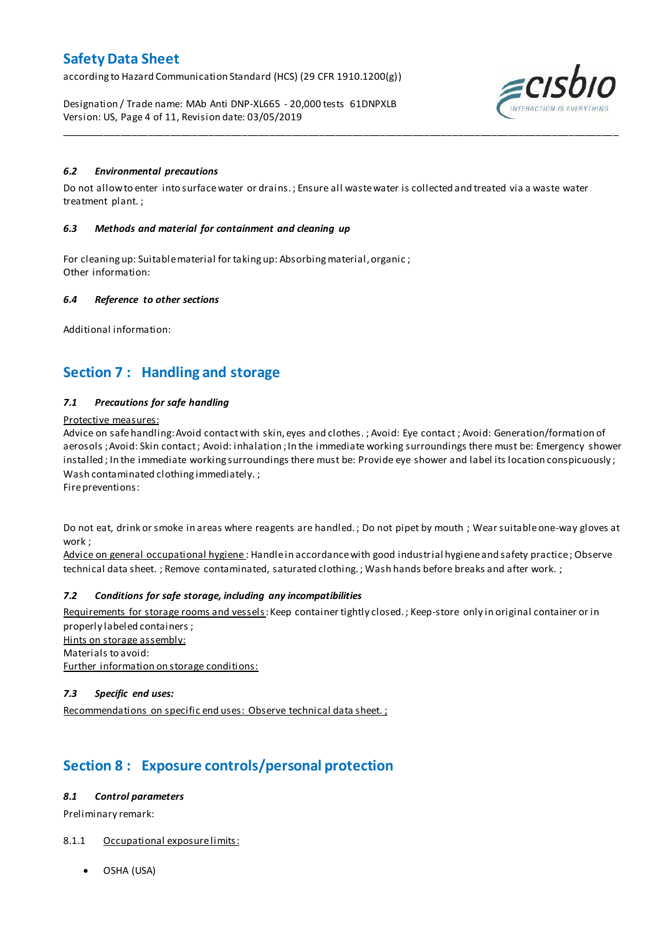according to Hazard Communication Standard (HCS) (29 CFR 1910.1200(g))

Designation / Trade name: MAb Anti DNP-XL665 - 20,000 tests 61DNPXLB Version: US, Page 4 of 11, Revision date: 03/05/2019



## *6.2 Environmental precautions*

Do not allow to enter into surface water or drains. ; Ensure all waste water is collected and treated via a waste water treatment plant. ;

\_\_\_\_\_\_\_\_\_\_\_\_\_\_\_\_\_\_\_\_\_\_\_\_\_\_\_\_\_\_\_\_\_\_\_\_\_\_\_\_\_\_\_\_\_\_\_\_\_\_\_\_\_\_\_\_\_\_\_\_\_\_\_\_\_\_\_\_\_\_\_\_\_\_\_\_\_\_\_\_\_\_\_\_\_\_\_\_\_\_\_\_\_\_\_\_\_\_\_\_\_

### *6.3 Methods and material for containment and cleaning up*

For cleaning up: Suitable material for taking up: Absorbing material, organic ; Other information:

### *6.4 Reference to other sections*

Additional information:

## **Section 7 : Handling and storage**

### *7.1 Precautions for safe handling*

### Protective measures:

Advice on safe handling:Avoid contact with skin, eyes and clothes. ; Avoid: Eye contact ; Avoid: Generation/formation of aerosols ; Avoid: Skin contact ; Avoid: inhalation ; In the immediate working surroundings there must be: Emergency shower installed; In the immediate working surroundings there must be: Provide eye shower and label its location conspicuously; Wash contaminated clothing immediately. ;

Fire preventions:

Do not eat, drink or smoke in areas where reagents are handled. ; Do not pipet by mouth ; Wear suitable one-way gloves at work ;

Advice on general occupational hygiene: Handle in accordance with good industrial hygiene and safety practice; Observe technical data sheet. ; Remove contaminated, saturated clothing. ; Wash hands before breaks and after work. ;

### *7.2 Conditions for safe storage, including any incompatibilities*

Requirements for storage rooms and vessels: Keep container tightly closed.; Keep-store only in original container or in properly labeled containers ; Hints on storage assembly: Materials to avoid: Further information on storage conditions:

### *7.3 Specific end uses:*

Recommendations on specific end uses: Observe technical data sheet. ;

# **Section 8 : Exposure controls/personal protection**

### *8.1 Control parameters*

Preliminary remark:

## 8.1.1 Occupational exposure limits:

OSHA (USA)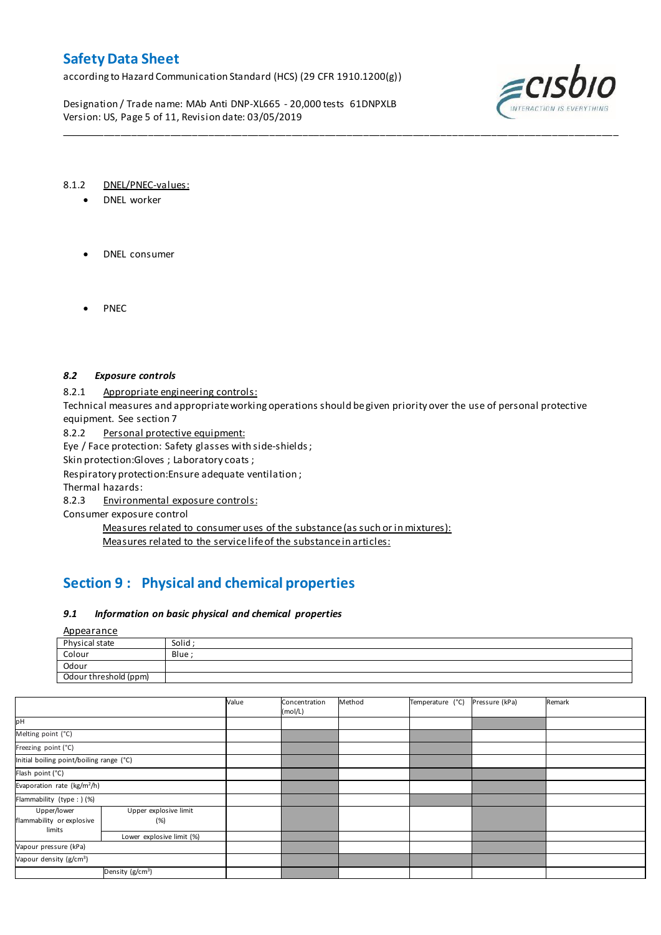according to Hazard Communication Standard (HCS) (29 CFR 1910.1200(g))

Designation / Trade name: MAb Anti DNP-XL665 - 20,000 tests 61DNPXLB Version: US, Page 5 of 11, Revision date: 03/05/2019



### 8.1.2 DNEL/PNEC-values:

- DNEL worker
- DNEL consumer
- PNEC

### *8.2 Exposure controls*

8.2.1 Appropriate engineering controls:

Technical measures and appropriate working operations should be given priority over the use of personal protective equipment. See section 7

\_\_\_\_\_\_\_\_\_\_\_\_\_\_\_\_\_\_\_\_\_\_\_\_\_\_\_\_\_\_\_\_\_\_\_\_\_\_\_\_\_\_\_\_\_\_\_\_\_\_\_\_\_\_\_\_\_\_\_\_\_\_\_\_\_\_\_\_\_\_\_\_\_\_\_\_\_\_\_\_\_\_\_\_\_\_\_\_\_\_\_\_\_\_\_\_\_\_\_\_\_

8.2.2 Personal protective equipment:

Eye / Face protection: Safety glasses with side-shields ;

Skin protection:Gloves ; Laboratory coats ;

Respiratory protection:Ensure adequate ventilation ;

Thermal hazards:

8.2.3 Environmental exposure controls:

Consumer exposure control

Measures related to consumer uses of the substance (as such or in mixtures): Measures related to the service life of the substance in articles:

# **Section 9 : Physical and chemical properties**

### *9.1 Information on basic physical and chemical properties*

Appearance

| ___                   |       |
|-----------------------|-------|
| Physical state        | Solid |
| Colour                | Blue  |
| Odour                 |       |
| Odour threshold (ppm) |       |

|                                                    |                              | Value | Concentration<br>(mol/L) | Method | Temperature (°C) | Pressure (kPa) | Remark |
|----------------------------------------------------|------------------------------|-------|--------------------------|--------|------------------|----------------|--------|
| pН                                                 |                              |       |                          |        |                  |                |        |
| Melting point (°C)                                 |                              |       |                          |        |                  |                |        |
| Freezing point (°C)                                |                              |       |                          |        |                  |                |        |
| Initial boiling point/boiling range (°C)           |                              |       |                          |        |                  |                |        |
| Flash point (°C)                                   |                              |       |                          |        |                  |                |        |
| Evaporation rate (kg/m <sup>2</sup> /h)            |                              |       |                          |        |                  |                |        |
| Flammability (type : ) (%)                         |                              |       |                          |        |                  |                |        |
| Upper/lower<br>flammability or explosive<br>limits | Upper explosive limit<br>(%) |       |                          |        |                  |                |        |
|                                                    | Lower explosive limit (%)    |       |                          |        |                  |                |        |
| Vapour pressure (kPa)                              |                              |       |                          |        |                  |                |        |
| Vapour density (g/cm <sup>3</sup> )                |                              |       |                          |        |                  |                |        |
| Density (g/cm <sup>3</sup> )                       |                              |       |                          |        |                  |                |        |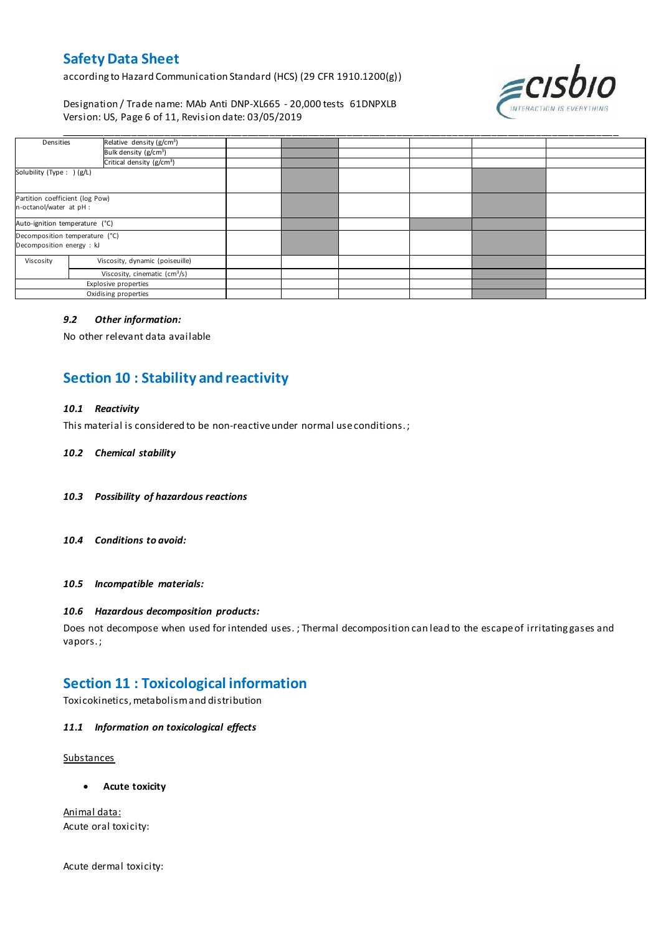according to Hazard Communication Standard (HCS) (29 CFR 1910.1200(g))

Designation / Trade name: MAb Anti DNP-XL665 - 20,000 tests 61DNPXLB Version: US, Page 6 of 11, Revision date: 03/05/2019



| Densities                                                   | Relative density (g/cm <sup>3</sup> ) |  |  |  |
|-------------------------------------------------------------|---------------------------------------|--|--|--|
|                                                             | Bulk density (g/cm <sup>3</sup> )     |  |  |  |
|                                                             | Critical density (g/cm <sup>3</sup> ) |  |  |  |
| Solubility (Type: ) (g/L)                                   |                                       |  |  |  |
| Partition coefficient (log Pow)<br>n-octanol/water at pH :  |                                       |  |  |  |
| Auto-ignition temperature (°C)                              |                                       |  |  |  |
| Decomposition temperature (°C)<br>Decomposition energy : kJ |                                       |  |  |  |
| Viscosity                                                   | Viscosity, dynamic (poiseuille)       |  |  |  |
|                                                             | Viscosity, cinematic $(cm3/s)$        |  |  |  |
| Explosive properties                                        |                                       |  |  |  |
| Oxidising properties                                        |                                       |  |  |  |

\_\_\_\_\_\_\_\_\_\_\_\_\_\_\_\_\_\_\_\_\_\_\_\_\_\_\_\_\_\_\_\_\_\_\_\_\_\_\_\_\_\_\_\_\_\_\_\_\_\_\_\_\_\_\_\_\_\_\_\_\_\_\_\_\_\_\_\_\_\_\_\_\_\_\_\_\_\_\_\_\_\_\_\_\_\_\_\_\_\_\_\_\_\_\_\_\_\_\_\_\_

### *9.2 Other information:*

No other relevant data available

# **Section 10 : Stability and reactivity**

### *10.1 Reactivity*

This material is considered to be non-reactive under normal use conditions. ;

### *10.2 Chemical stability*

- *10.3 Possibility of hazardous reactions*
- *10.4 Conditions to avoid:*

*10.5 Incompatible materials:*

### *10.6 Hazardous decomposition products:*

Does not decompose when used for intended uses. ; Thermal decomposition can lead to the escape of irritating gases and vapors. ;

## **Section 11 : Toxicological information**

Toxicokinetics, metabolism and distribution

### *11.1 Information on toxicological effects*

**Substances** 

**Acute toxicity**

Animal data: Acute oral toxicity:

Acute dermal toxicity: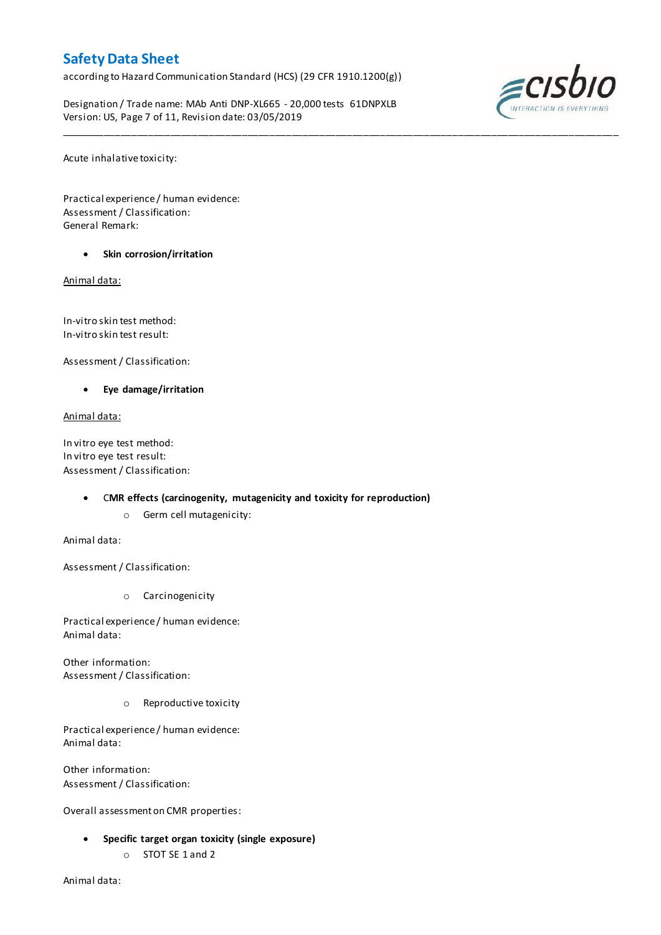according to Hazard Communication Standard (HCS) (29 CFR 1910.1200(g))

Designation / Trade name: MAb Anti DNP-XL665 - 20,000 tests 61DNPXLB Version: US, Page 7 of 11, Revision date: 03/05/2019

\_\_\_\_\_\_\_\_\_\_\_\_\_\_\_\_\_\_\_\_\_\_\_\_\_\_\_\_\_\_\_\_\_\_\_\_\_\_\_\_\_\_\_\_\_\_\_\_\_\_\_\_\_\_\_\_\_\_\_\_\_\_\_\_\_\_\_\_\_\_\_\_\_\_\_\_\_\_\_\_\_\_\_\_\_\_\_\_\_\_\_\_\_\_\_\_\_\_\_\_\_



Acute inhalative toxicity:

Practical experience / human evidence: Assessment / Classification: General Remark:

**Skin corrosion/irritation**

Animal data:

In-vitro skin test method: In-vitro skin test result:

Assessment / Classification:

**Eye damage/irritation**

Animal data:

In vitro eye test method: In vitro eye test result: Assessment / Classification:

### C**MR effects (carcinogenity, mutagenicity and toxicity for reproduction)**

o Germ cell mutagenicity:

Animal data:

Assessment / Classification:

o Carcinogenicity

Practical experience / human evidence: Animal data:

Other information: Assessment / Classification:

o Reproductive toxicity

Practical experience / human evidence: Animal data:

Other information: Assessment / Classification:

Overall assessment on CMR properties:

- **Specific target organ toxicity (single exposure)**
	- o STOT SE 1 and 2

Animal data: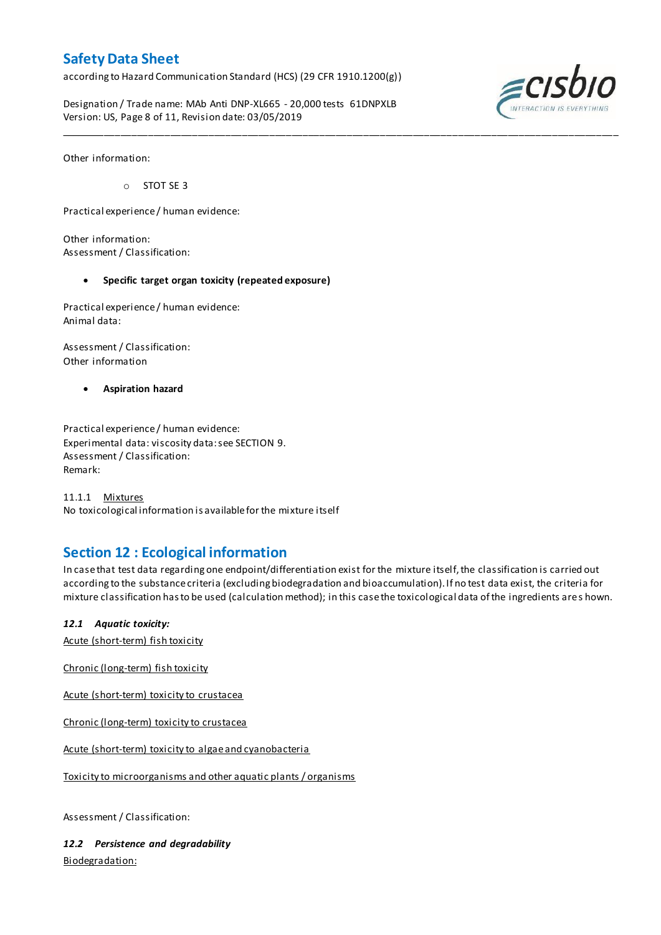according to Hazard Communication Standard (HCS) (29 CFR 1910.1200(g))

Designation / Trade name: MAb Anti DNP-XL665 - 20,000 tests 61DNPXLB Version: US, Page 8 of 11, Revision date: 03/05/2019



Other information:

o STOT SE 3

Practical experience / human evidence:

Other information: Assessment / Classification:

### **Specific target organ toxicity (repeated exposure)**

Practical experience / human evidence: Animal data:

Assessment / Classification: Other information

**Aspiration hazard**

Practical experience / human evidence: Experimental data: viscosity data: see SECTION 9. Assessment / Classification: Remark:

11.1.1 Mixtures No toxicological information is available for the mixture itself

## **Section 12 : Ecological information**

In case that test data regarding one endpoint/differentiation exist for the mixture itself, the classification is carried out according to the substance criteria (excluding biodegradation and bioaccumulation). If no test data exist, the criteria for mixture classification has to be used (calculation method); in this case the toxicological data of the ingredients are s hown.

\_\_\_\_\_\_\_\_\_\_\_\_\_\_\_\_\_\_\_\_\_\_\_\_\_\_\_\_\_\_\_\_\_\_\_\_\_\_\_\_\_\_\_\_\_\_\_\_\_\_\_\_\_\_\_\_\_\_\_\_\_\_\_\_\_\_\_\_\_\_\_\_\_\_\_\_\_\_\_\_\_\_\_\_\_\_\_\_\_\_\_\_\_\_\_\_\_\_\_\_\_

### *12.1 Aquatic toxicity:*

Acute (short-term) fish toxicity

Chronic (long-term) fish toxicity

Acute (short-term) toxicity to crustacea

Chronic (long-term) toxicity to crustacea

Acute (short-term) toxicity to algae and cyanobacteria

Toxicity to microorganisms and other aquatic plants / organisms

Assessment / Classification:

*12.2 Persistence and degradability* Biodegradation: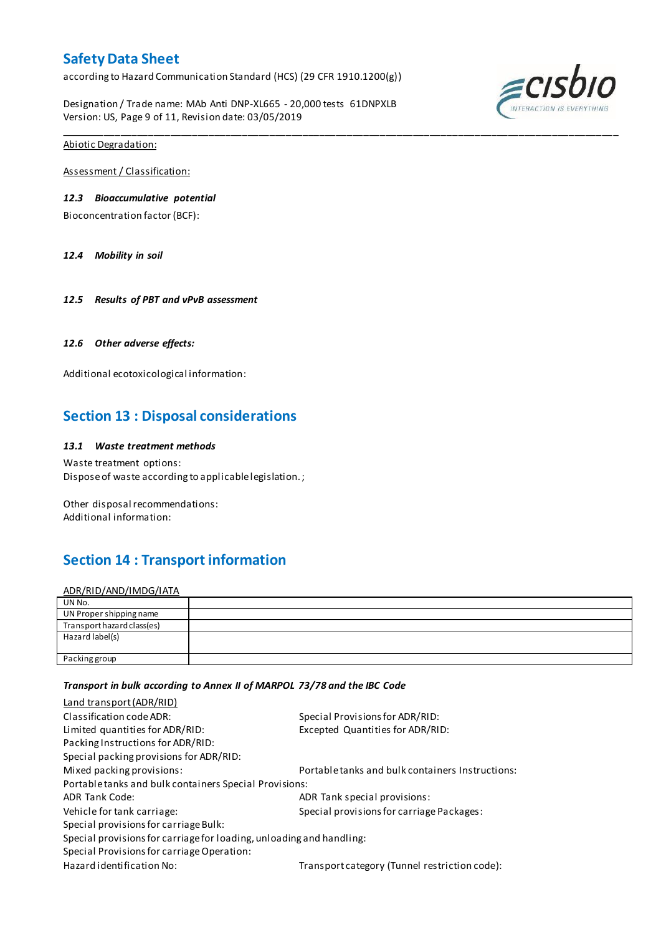according to Hazard Communication Standard (HCS) (29 CFR 1910.1200(g))

Designation / Trade name: MAb Anti DNP-XL665 - 20,000 tests 61DNPXLB Version: US, Page 9 of 11, Revision date: 03/05/2019



Abiotic Degradation:

Assessment / Classification:

### *12.3 Bioaccumulative potential*

Bioconcentration factor (BCF):

*12.4 Mobility in soil*

*12.5 Results of PBT and vPvB assessment*

### *12.6 Other adverse effects:*

Additional ecotoxicological information:

## **Section 13 : Disposal considerations**

### *13.1 Waste treatment methods*

Waste treatment options: Dispose of waste according to applicable legislation. ;

Other disposal recommendations: Additional information:

# **Section 14 : Transport information**

ADR/RID/AND/IMDG/IATA

| UN No.                     |  |
|----------------------------|--|
| UN Proper shipping name    |  |
| Transport hazard class(es) |  |
| Hazard label(s)            |  |
|                            |  |
| Packing group              |  |

\_\_\_\_\_\_\_\_\_\_\_\_\_\_\_\_\_\_\_\_\_\_\_\_\_\_\_\_\_\_\_\_\_\_\_\_\_\_\_\_\_\_\_\_\_\_\_\_\_\_\_\_\_\_\_\_\_\_\_\_\_\_\_\_\_\_\_\_\_\_\_\_\_\_\_\_\_\_\_\_\_\_\_\_\_\_\_\_\_\_\_\_\_\_\_\_\_\_\_\_\_

### *Transport in bulk according to Annex II of MARPOL 73/78 and the IBC Code*

| Land transport (ADR/RID)                                             |                                                  |
|----------------------------------------------------------------------|--------------------------------------------------|
| Classification code ADR:                                             | Special Provisions for ADR/RID:                  |
| Limited quantities for ADR/RID:                                      | Excepted Quantities for ADR/RID:                 |
| Packing Instructions for ADR/RID:                                    |                                                  |
| Special packing provisions for ADR/RID:                              |                                                  |
| Mixed packing provisions:                                            | Portable tanks and bulk containers Instructions: |
| Portable tanks and bulk containers Special Provisions:               |                                                  |
| <b>ADR Tank Code:</b>                                                | ADR Tank special provisions:                     |
| Vehicle for tank carriage:                                           | Special provisions for carriage Packages:        |
| Special provisions for carriage Bulk:                                |                                                  |
| Special provisions for carriage for loading, unloading and handling: |                                                  |
| Special Provisions for carriage Operation:                           |                                                  |
| Hazard identification No:                                            | Transport category (Tunnel restriction code):    |
|                                                                      |                                                  |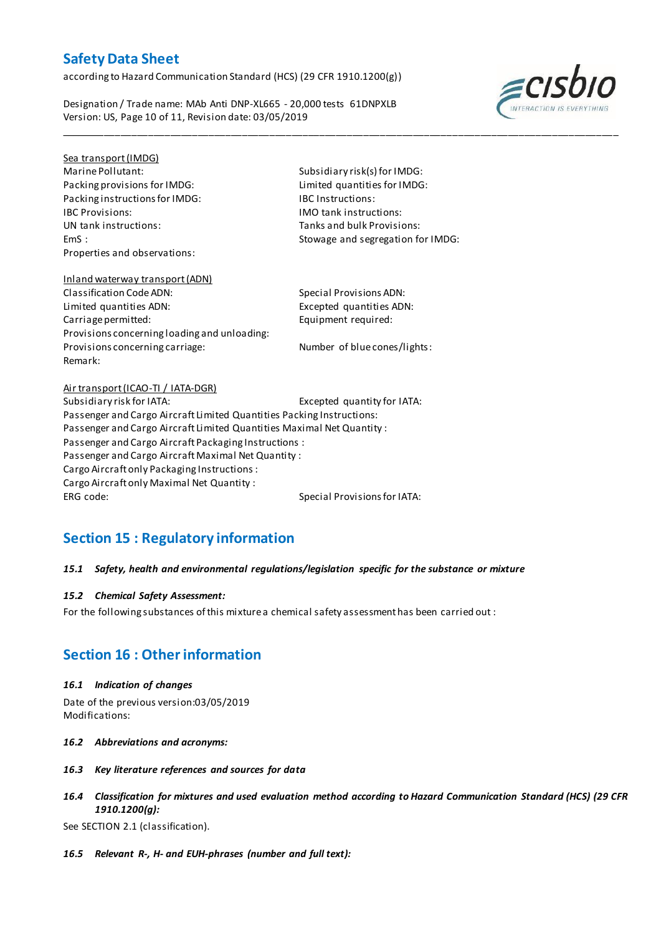according to Hazard Communication Standard (HCS) (29 CFR 1910.1200(g))

Designation / Trade name: MAb Anti DNP-XL665 - 20,000 tests 61DNPXLB Version: US, Page 10 of 11, Revision date: 03/05/2019



## Sea transport (IMDG)

Marine Pollutant: Subsidiary risk(s) for IMDG: Packing provisions for IMDG: Limited quantities for IMDG: Packing instructions for IMDG: IBC Instructions: IBC Provisions: IMO tank instructions: Properties and observations:

Tanks and bulk Provisions: EmS : Stowage and segregation for IMDG:

\_\_\_\_\_\_\_\_\_\_\_\_\_\_\_\_\_\_\_\_\_\_\_\_\_\_\_\_\_\_\_\_\_\_\_\_\_\_\_\_\_\_\_\_\_\_\_\_\_\_\_\_\_\_\_\_\_\_\_\_\_\_\_\_\_\_\_\_\_\_\_\_\_\_\_\_\_\_\_\_\_\_\_\_\_\_\_\_\_\_\_\_\_\_\_\_\_\_\_\_\_

## Inland waterway transport (ADN) Classification Code ADN: Special Provisions ADN: Limited quantities ADN: Excepted quantities ADN: Carriage permitted: Equipment required: Provisions concerning loading and unloading: Provisions concerning carriage: Number of blue cones/lights: Remark:

## Air transport (ICAO-TI / IATA-DGR) Subsidiary risk for IATA: Excepted quantity for IATA: Passenger and Cargo Aircraft Limited Quantities Packing Instructions: Passenger and Cargo Aircraft Limited Quantities Maximal Net Quantity : Passenger and Cargo Aircraft Packaging Instructions : Passenger and Cargo Aircraft Maximal Net Quantity : Cargo Aircraft only Packaging Instructions : Cargo Aircraft only Maximal Net Quantity : ERG code: Special Provisions for IATA:

# **Section 15 : Regulatory information**

## *15.1 Safety, health and environmental regulations/legislation specific for the substance or mixture*

## *15.2 Chemical Safety Assessment:*

For the following substances of this mixture a chemical safety assessment has been carried out :

# **Section 16 : Other information**

### *16.1 Indication of changes*

Date of the previous version:03/05/2019 Modifications:

- *16.2 Abbreviations and acronyms:*
- *16.3 Key literature references and sources for data*
- *16.4 Classification for mixtures and used evaluation method according to Hazard Communication Standard (HCS) (29 CFR 1910.1200(g):*

See SECTION 2.1 (classification).

*16.5 Relevant R-, H- and EUH-phrases (number and full text):*